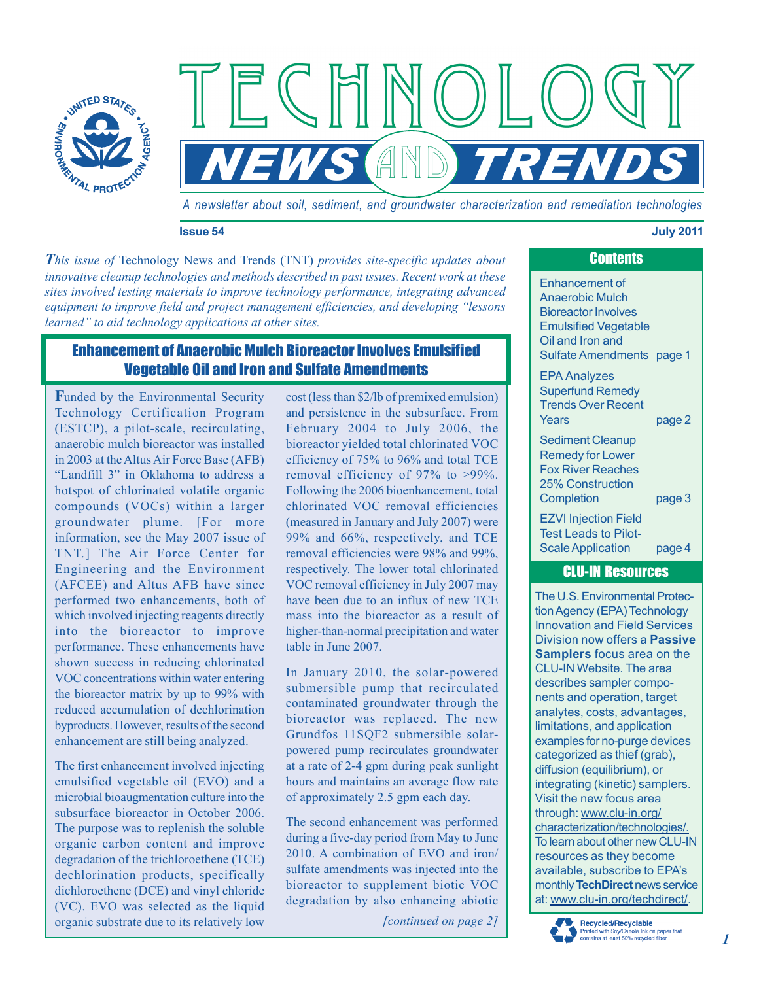

*A newsletter about soil, sediment, and groundwater characterization and remediation technologies* 

 $\left\langle \left( \begin{array}{c} \end{array} \right) \right\rangle$ 

 $AND$ 

#### **Issue 54 July 2011**

*This issue of* Technology News and Trends (TNT) *provides site-specific updates about innovative cleanup technologies and methods described in past issues. Recent work at these sites involved testing materials to improve technology performance, integrating advanced equipment to improve field and project management efficiencies, and developing "lessons learned" to aid technology applications at other sites.* 

 $FCHH$ 

# Enhancement of Anaerobic Mulch Bioreactor Involves Emulsified Vegetable Oil and Iron and Sulfate Amendments

**F**unded by the Environmental Security Technology Certification Program (ESTCP), a pilot-scale, recirculating, anaerobic mulch bioreactor was installed in 2003 at the Altus Air Force Base (AFB) "Landfill 3" in Oklahoma to address a hotspot of chlorinated volatile organic compounds (VOCs) within a larger groundwater plume. [For more information, see the May 2007 issue of TNT.] The Air Force Center for Engineering and the Environment (AFCEE) and Altus AFB have since performed two enhancements, both of which involved injecting reagents directly into the bioreactor to improve performance. These enhancements have shown success in reducing chlorinated VOC concentrations within water entering the bioreactor matrix by up to 99% with reduced accumulation of dechlorination byproducts. However, results of the second enhancement are still being analyzed.

The first enhancement involved injecting emulsified vegetable oil (EVO) and a microbial bioaugmentation culture into the subsurface bioreactor in October 2006. The purpose was to replenish the soluble organic carbon content and improve degradation of the trichloroethene (TCE) dechlorination products, specifically dichloroethene (DCE) and vinyl chloride (VC). EVO was selected as the liquid organic substrate due to its relatively low

cost (less than \$2/lb of premixed emulsion) and persistence in the subsurface. From February 2004 to July 2006, the bioreactor yielded total chlorinated VOC efficiency of 75% to 96% and total TCE removal efficiency of 97% to >99%. Following the 2006 bioenhancement, total chlorinated VOC removal efficiencies (measured in January and July 2007) were 99% and 66%, respectively, and TCE removal efficiencies were 98% and 99%, respectively. The lower total chlorinated VOC removal efficiency in July 2007 may have been due to an influx of new TCE mass into the bioreactor as a result of higher-than-normal precipitation and water table in June 2007.

In January 2010, the solar-powered submersible pump that recirculated contaminated groundwater through the bioreactor was replaced. The new Grundfos 11SQF2 submersible solarpowered pump recirculates groundwater at a rate of 2-4 gpm during peak sunlight hours and maintains an average flow rate of approximately 2.5 gpm each day.

The second enhancement was performed during a five-day period from May to June 2010. A combination of EVO and iron/ sulfate amendments was injected into the bioreactor to supplement biotic VOC degradation by also enhancing abiotic

*[continued on page 2]* 

# Enhancement of Anaerobic Mulch Bioreactor Involves Emulsified Vegetable Oil and Iron and Sulfate Amendments page 1 EPA Analyzes Superfund Remedy Trends Over Recent Years page 2 Sediment Cleanup Remedy for Lower Fox River Reaches 25% Construction Completion page 3 EZVI Injection Field Test Leads to Pilot-Scale Application page 4

**Contents** 

# CLU-IN Resources

The U.S. Environmental Protection Agency (EPA) Technology Innovation and Field Services Division now offers a **Passive Samplers** focus area on the CLU-IN Website. The area describes sampler components and operation, target analytes, costs, advantages, limitations, and application examples for no-purge devices categorized as thief (grab), diffusion (equilibrium), or integrating (kinetic) samplers. Visit the new focus area through: [www.clu-in.org/](http://www.clu-in.org/characterization/technologies/)  [characterization/technologies/.](http://www.clu-in.org/characterization/technologies/)  To learn about other new CLU-IN resources as they become available, subscribe to EPA's monthly **TechDirect** news service at[: www.clu-in.org/techdirect/.](http://www.clu-in.org/techdirect/) 

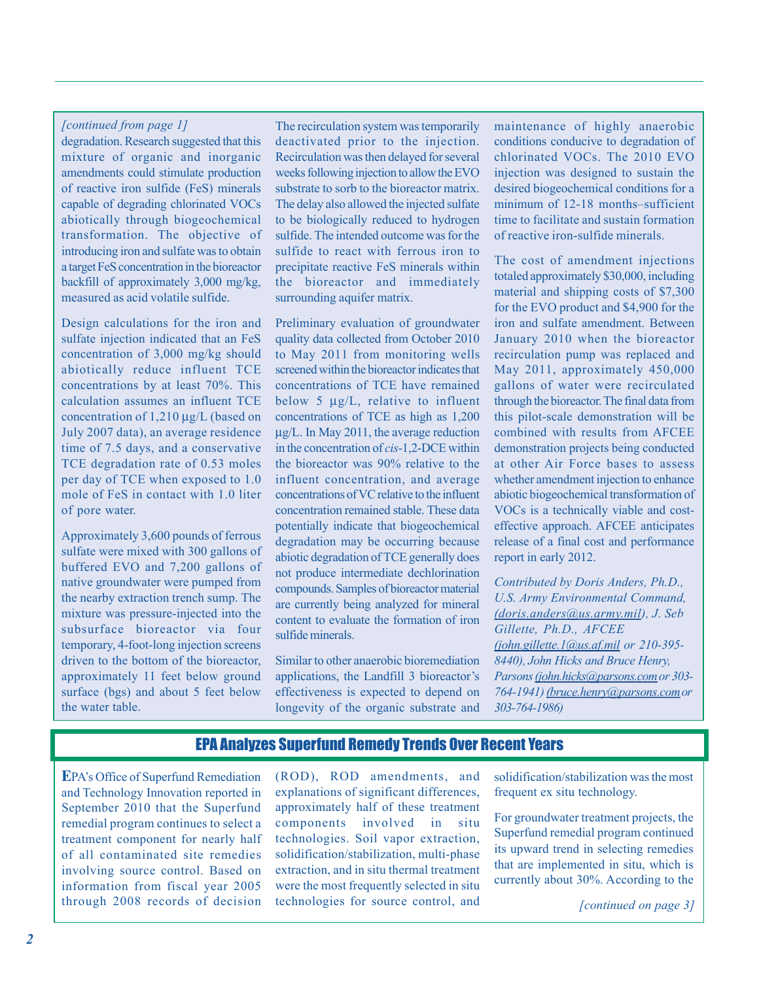### *[continued from page 1]*

degradation. Research suggested that this mixture of organic and inorganic amendments could stimulate production of reactive iron sulfide (FeS) minerals capable of degrading chlorinated VOCs abiotically through biogeochemical transformation. The objective of introducing iron and sulfate was to obtain a target FeS concentration in the bioreactor backfill of approximately 3,000 mg/kg, measured as acid volatile sulfide.

Design calculations for the iron and sulfate injection indicated that an FeS concentration of 3,000 mg/kg should abiotically reduce influent TCE concentrations by at least 70%. This calculation assumes an influent TCE concentration of 1,210 μg/L (based on July 2007 data), an average residence time of 7.5 days, and a conservative TCE degradation rate of 0.53 moles per day of TCE when exposed to 1.0 mole of FeS in contact with 1.0 liter of pore water.

Approximately 3,600 pounds of ferrous sulfate were mixed with 300 gallons of buffered EVO and 7,200 gallons of native groundwater were pumped from the nearby extraction trench sump. The mixture was pressure-injected into the subsurface bioreactor via four temporary, 4-foot-long injection screens driven to the bottom of the bioreactor, approximately 11 feet below ground surface (bgs) and about 5 feet below the water table.

The recirculation system was temporarily deactivated prior to the injection. Recirculation was then delayed for several weeks following injection to allow the EVO substrate to sorb to the bioreactor matrix. The delay also allowed the injected sulfate to be biologically reduced to hydrogen sulfide. The intended outcome was for the sulfide to react with ferrous iron to precipitate reactive FeS minerals within the bioreactor and immediately surrounding aquifer matrix.

Preliminary evaluation of groundwater quality data collected from October 2010 to May 2011 from monitoring wells screened within the bioreactor indicates that concentrations of TCE have remained below 5  $\mu$ g/L, relative to influent concentrations of TCE as high as 1,200 μg/L. In May 2011, the average reduction in the concentration of *cis*-1,2-DCE within the bioreactor was 90% relative to the influent concentration, and average concentrations of VC relative to the influent concentration remained stable. These data potentially indicate that biogeochemical degradation may be occurring because abiotic degradation of TCE generally does not produce intermediate dechlorination compounds. Samples of bioreactor material are currently being analyzed for mineral content to evaluate the formation of iron sulfide minerals.

Similar to other anaerobic bioremediation applications, the Landfill 3 bioreactor's effectiveness is expected to depend on longevity of the organic substrate and

maintenance of highly anaerobic conditions conducive to degradation of chlorinated VOCs. The 2010 EVO injection was designed to sustain the desired biogeochemical conditions for a minimum of 12-18 months–sufficient time to facilitate and sustain formation of reactive iron-sulfide minerals.

The cost of amendment injections totaled approximately \$30,000, including material and shipping costs of \$7,300 for the EVO product and \$4,900 for the iron and sulfate amendment. Between January 2010 when the bioreactor recirculation pump was replaced and May 2011, approximately 450,000 gallons of water were recirculated through the bioreactor. The final data from this pilot-scale demonstration will be combined with results from AFCEE demonstration projects being conducted at other Air Force bases to assess whether amendment injection to enhance abiotic biogeochemical transformation of VOCs is a technically viable and costeffective approach. AFCEE anticipates release of a final cost and performance report in early 2012.

*Contributed by Doris Anders, Ph.D., U.S. Army Environmental Command, [\(doris.anders@us.army.mil\)](mailto:doris.anders@us.army.mil), J. Seb Gillette, Ph.D., AFCEE [\(john.gillette.1@us.af.mil](mailto:john.gillette.1@us.af.mil) or 210-395- 8440), John Hicks and Bruce Henry, Parsons [\(john.hicks@parsons.com o](mailto:john.hicks@parsons.com)r 303- 764-1941) [\(bruce.henry@parsons.com](mailto:bruce.henry@parsons.com) or 303-764-1986)* 

# EPA Analyzes Superfund Remedy Trends Over Recent Years

**E**PA's Office of Superfund Remediation (ROD), ROD amendments, and solidification/stabilization was the most and Technology Innovation reported in explanations of significant differences, frequent ex situ technology. September 2010 that the Superfund approximately half of these treatment<br>remedial program continues to select a components involved in situ For groundwater treatment projects, the<br>treatment component for nearly half technol through 2008 records of decision technologies for source control, and *[continued on page 3]*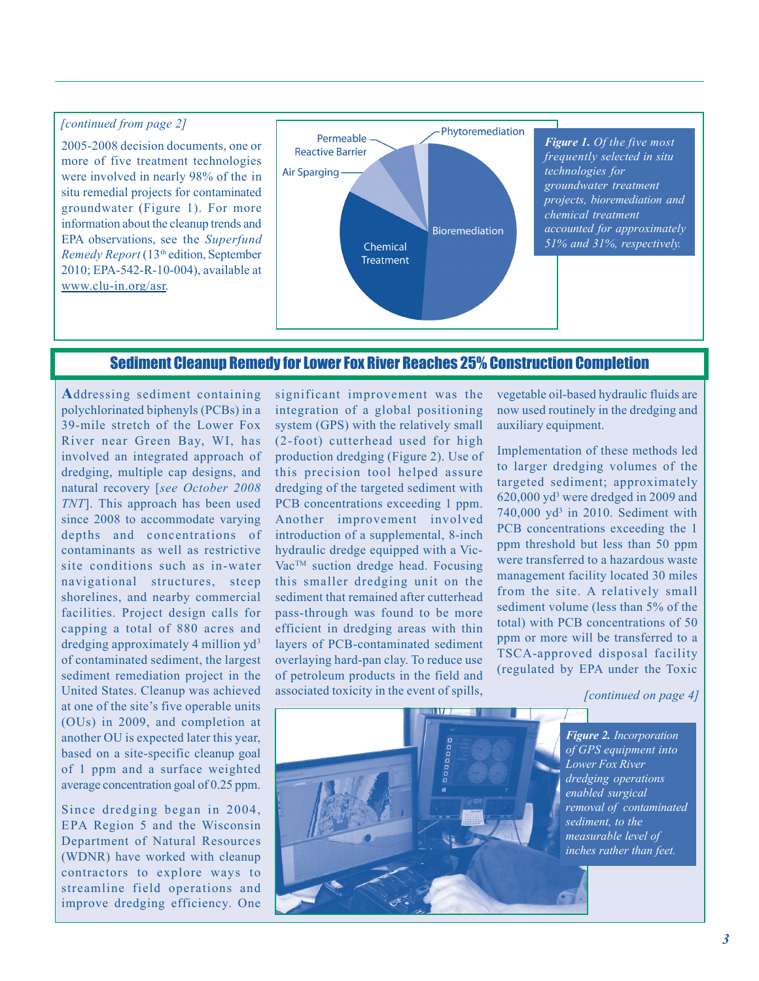## *[continued from page 2]*

2005-2008 decision documents, one or more of five treatment technologies were involved in nearly 98% of the in situ remedial projects for contaminated groundwater (Figure 1). For more information about the cleanup trends and EPA observations, see the *Superfund Remedy Report* (13th edition, September 2010; EPA-542-R-10-004), available at [www.clu-in.org/asr.](http://www.clu-in.org/asr) 



# Sediment Cleanup Remedy for Lower Fox River Reaches 25% Construction Completion

**A**ddressing sediment containing polychlorinated biphenyls (PCBs) in a 39-mile stretch of the Lower Fox River near Green Bay, WI, has involved an integrated approach of dredging, multiple cap designs, and natural recovery [*see October 2008 TNT*]. This approach has been used since 2008 to accommodate varying depths and concentrations of contaminants as well as restrictive site conditions such as in-water navigational structures, steep shorelines, and nearby commercial facilities. Project design calls for capping a total of 880 acres and dredging approximately 4 million  $yd^3$ of contaminated sediment, the largest sediment remediation project in the United States. Cleanup was achieved at one of the site's five operable units (OUs) in 2009, and completion at another OU is expected later this year, based on a site-specific cleanup goal of 1 ppm and a surface weighted average concentration goal of 0.25 ppm.

Since dredging began in 2004, EPA Region 5 and the Wisconsin Department of Natural Resources (WDNR) have worked with cleanup contractors to explore ways to streamline field operations and improve dredging efficiency. One

significant improvement was the integration of a global positioning system (GPS) with the relatively small (2-foot) cutterhead used for high production dredging (Figure 2). Use of this precision tool helped assure dredging of the targeted sediment with PCB concentrations exceeding 1 ppm. Another improvement involved introduction of a supplemental, 8-inch hydraulic dredge equipped with a Vic-Vac<sup>™</sup> suction dredge head. Focusing this smaller dredging unit on the sediment that remained after cutterhead pass-through was found to be more efficient in dredging areas with thin layers of PCB-contaminated sediment overlaying hard-pan clay. To reduce use of petroleum products in the field and associated toxicity in the event of spills, vegetable oil-based hydraulic fluids are now used routinely in the dredging and auxiliary equipment.

Implementation of these methods led to larger dredging volumes of the targeted sediment; approximately 620,000 yd3 were dredged in 2009 and 740,000 yd<sup>3</sup> in 2010. Sediment with PCB concentrations exceeding the 1 ppm threshold but less than 50 ppm were transferred to a hazardous waste management facility located 30 miles from the site. A relatively small sediment volume (less than 5% of the total) with PCB concentrations of 50 ppm or more will be transferred to a TSCA-approved disposal facility (regulated by EPA under the Toxic

*[continued on page 4]* 



*Figure 2. Incorporation of GPS equipment into Lower Fox River dredging operations enabled surgical removal of contaminated sediment, to the measurable level of inches rather than feet.*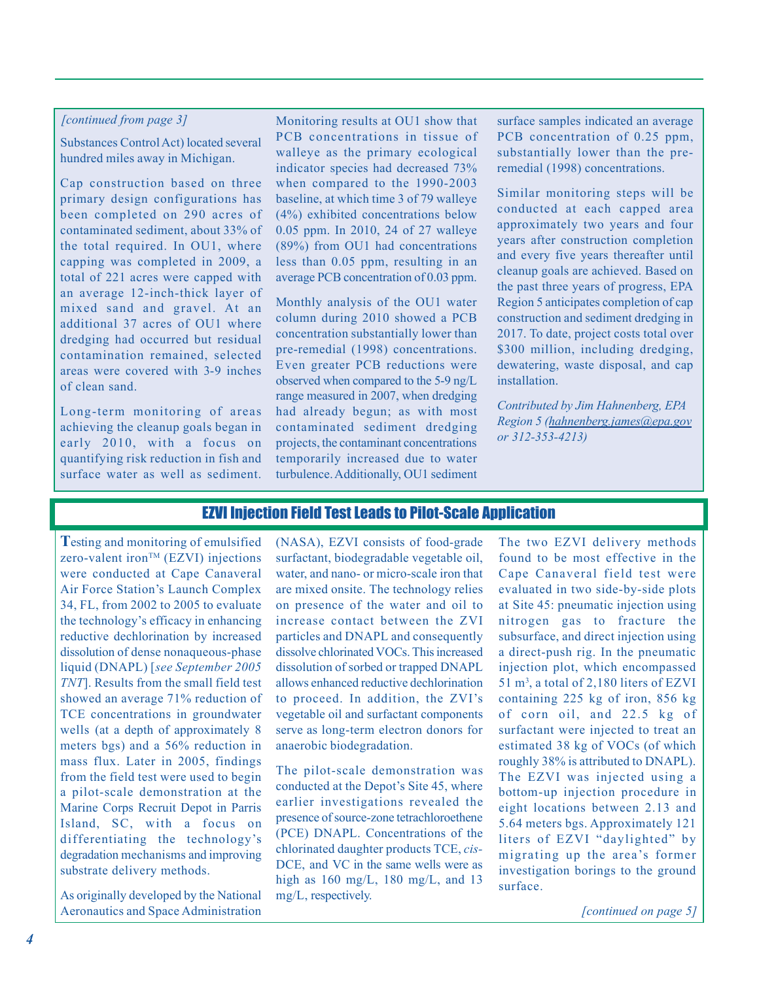### *[continued from page 3]*

Substances Control Act) located several hundred miles away in Michigan.

Cap construction based on three primary design configurations has been completed on 290 acres of contaminated sediment, about 33% of the total required. In OU1, where capping was completed in 2009, a total of 221 acres were capped with an average 12-inch-thick layer of mixed sand and gravel. At an additional 37 acres of OU1 where dredging had occurred but residual contamination remained, selected areas were covered with 3-9 inches of clean sand.

Long-term monitoring of areas achieving the cleanup goals began in early 2010, with a focus on quantifying risk reduction in fish and surface water as well as sediment.

Monitoring results at OU1 show that PCB concentrations in tissue of walleye as the primary ecological indicator species had decreased 73% when compared to the 1990-2003 baseline, at which time 3 of 79 walleye (4%) exhibited concentrations below 0.05 ppm. In 2010, 24 of 27 walleye (89%) from OU1 had concentrations less than 0.05 ppm, resulting in an average PCB concentration of 0.03 ppm.

Monthly analysis of the OU1 water column during 2010 showed a PCB concentration substantially lower than pre-remedial (1998) concentrations. Even greater PCB reductions were observed when compared to the 5-9 ng/L range measured in 2007, when dredging had already begun; as with most contaminated sediment dredging projects, the contaminant concentrations temporarily increased due to water turbulence. Additionally, OU1 sediment surface samples indicated an average PCB concentration of 0.25 ppm, substantially lower than the preremedial (1998) concentrations.

Similar monitoring steps will be conducted at each capped area approximately two years and four years after construction completion and every five years thereafter until cleanup goals are achieved. Based on the past three years of progress, EPA Region 5 anticipates completion of cap construction and sediment dredging in 2017. To date, project costs total over \$300 million, including dredging, dewatering, waste disposal, and cap installation.

*Contributed by Jim Hahnenberg, EPA Region 5 [\(hahnenberg.james@epa.gov](mailto:hahnenberg.james@epa.gov)  or 312-353-4213)* 

# EZVI Injection Field Test Leads to Pilot-Scale Application

**T**esting and monitoring of emulsified  $zero$ -valent iron<sup>TM</sup> (EZVI) injections were conducted at Cape Canaveral Air Force Station's Launch Complex 34, FL, from 2002 to 2005 to evaluate the technology's efficacy in enhancing reductive dechlorination by increased dissolution of dense nonaqueous-phase liquid (DNAPL) [*see September 2005 TNT*]. Results from the small field test showed an average 71% reduction of TCE concentrations in groundwater wells (at a depth of approximately 8 meters bgs) and a 56% reduction in mass flux. Later in 2005, findings from the field test were used to begin a pilot-scale demonstration at the Marine Corps Recruit Depot in Parris Island, SC, with a focus on differentiating the technology's degradation mechanisms and improving substrate delivery methods.

As originally developed by the National Aeronautics and Space Administration (NASA), EZVI consists of food-grade surfactant, biodegradable vegetable oil, water, and nano- or micro-scale iron that are mixed onsite. The technology relies on presence of the water and oil to increase contact between the ZVI particles and DNAPL and consequently dissolve chlorinated VOCs. This increased dissolution of sorbed or trapped DNAPL allows enhanced reductive dechlorination to proceed. In addition, the ZVI's vegetable oil and surfactant components serve as long-term electron donors for anaerobic biodegradation.

 DCE, and VC in the same wells were as The pilot-scale demonstration was conducted at the Depot's Site 45, where earlier investigations revealed the presence of source-zone tetrachloroethene (PCE) DNAPL. Concentrations of the chlorinated daughter products TCE, *cis*high as  $160 \text{ mg/L}$ ,  $180 \text{ mg/L}$ , and  $13$ mg/L, respectively.

The two EZVI delivery methods found to be most effective in the Cape Canaveral field test were evaluated in two side-by-side plots at Site 45: pneumatic injection using nitrogen gas to fracture the subsurface, and direct injection using a direct-push rig. In the pneumatic injection plot, which encompassed  $51 \text{ m}^3$ , a total of 2,180 liters of EZVI containing 225 kg of iron, 856 kg of corn oil, and 22.5 kg of surfactant were injected to treat an estimated 38 kg of VOCs (of which roughly 38% is attributed to DNAPL). The EZVI was injected using a bottom-up injection procedure in eight locations between 2.13 and 5.64 meters bgs. Approximately 121 liters of EZVI "daylighted" by migrating up the area's former investigation borings to the ground surface.

*[continued on page 5]*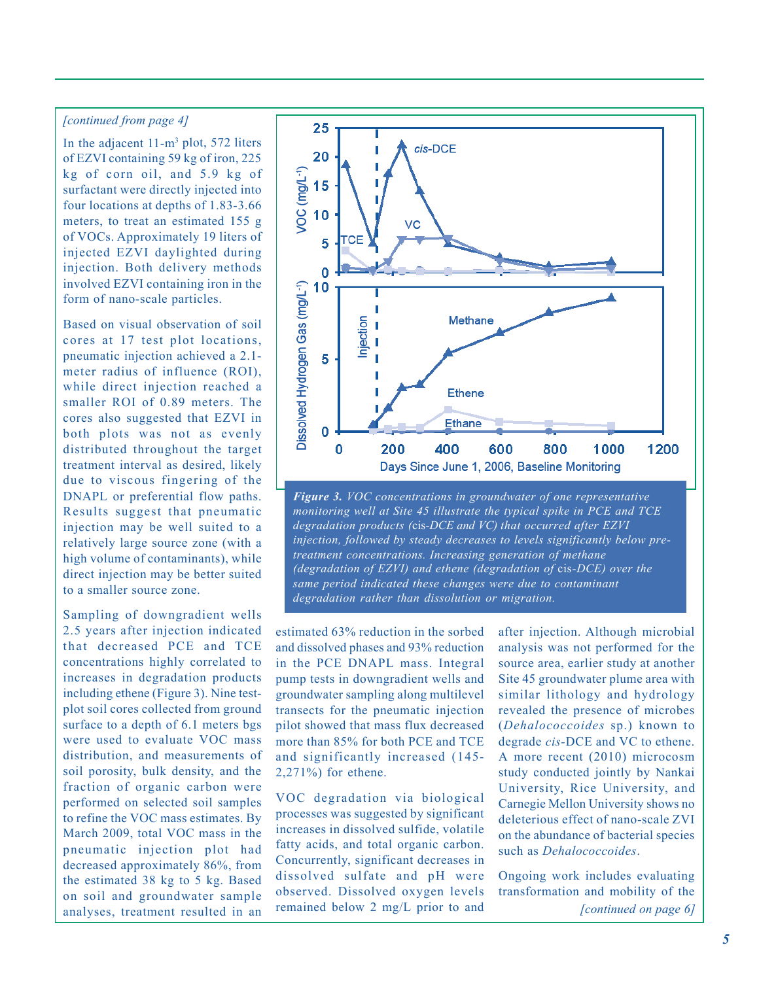#### *[continued from page 4]*

In the adjacent  $11-m^3$  plot, 572 liters of EZVI containing 59 kg of iron, 225 kg of corn oil, and 5.9 kg of surfactant were directly injected into four locations at depths of 1.83-3.66 meters, to treat an estimated 155 g of VOCs. Approximately 19 liters of injected EZVI daylighted during injection. Both delivery methods involved EZVI containing iron in the form of nano-scale particles.

Based on visual observation of soil cores at 17 test plot locations, pneumatic injection achieved a 2.1 meter radius of influence (ROI), while direct injection reached a smaller ROI of 0.89 meters. The cores also suggested that EZVI in both plots was not as evenly distributed throughout the target treatment interval as desired, likely due to viscous fingering of the DNAPL or preferential flow paths. Results suggest that pneumatic injection may be well suited to a relatively large source zone (with a high volume of contaminants), while direct injection may be better suited to a smaller source zone.

Sampling of downgradient wells 2.5 years after injection indicated that decreased PCE and TCE concentrations highly correlated to increases in degradation products including ethene (Figure 3). Nine testplot soil cores collected from ground surface to a depth of 6.1 meters bgs were used to evaluate VOC mass distribution, and measurements of soil porosity, bulk density, and the fraction of organic carbon were performed on selected soil samples to refine the VOC mass estimates. By March 2009, total VOC mass in the pneumatic injection plot had decreased approximately 86%, from the estimated 38 kg to 5 kg. Based on soil and groundwater sample analyses, treatment resulted in an



*Figure 3. VOC concentrations in groundwater of one representative monitoring well at Site 45 illustrate the typical spike in PCE and TCE degradation products (*cis*-DCE and VC) that occurred after EZVI injection, followed by steady decreases to levels significantly below pretreatment concentrations. Increasing generation of methane (degradation of EZVI) and ethene (degradation of* cis*-DCE) over the same period indicated these changes were due to contaminant degradation rather than dissolution or migration.* 

estimated 63% reduction in the sorbed and dissolved phases and 93% reduction in the PCE DNAPL mass. Integral pump tests in downgradient wells and groundwater sampling along multilevel transects for the pneumatic injection pilot showed that mass flux decreased more than 85% for both PCE and TCE and significantly increased (145- 2,271%) for ethene.

VOC degradation via biological processes was suggested by significant increases in dissolved sulfide, volatile fatty acids, and total organic carbon. Concurrently, significant decreases in dissolved sulfate and pH were observed. Dissolved oxygen levels remained below 2 mg/L prior to and

after injection. Although microbial analysis was not performed for the source area, earlier study at another Site 45 groundwater plume area with similar lithology and hydrology revealed the presence of microbes (*Dehalococcoides* sp.) known to degrade *cis-*DCE and VC to ethene. A more recent (2010) microcosm study conducted jointly by Nankai University, Rice University, and Carnegie Mellon University shows no deleterious effect of nano-scale ZVI on the abundance of bacterial species such as *Dehalococcoides*.

Ongoing work includes evaluating transformation and mobility of the *[continued on page 6]*